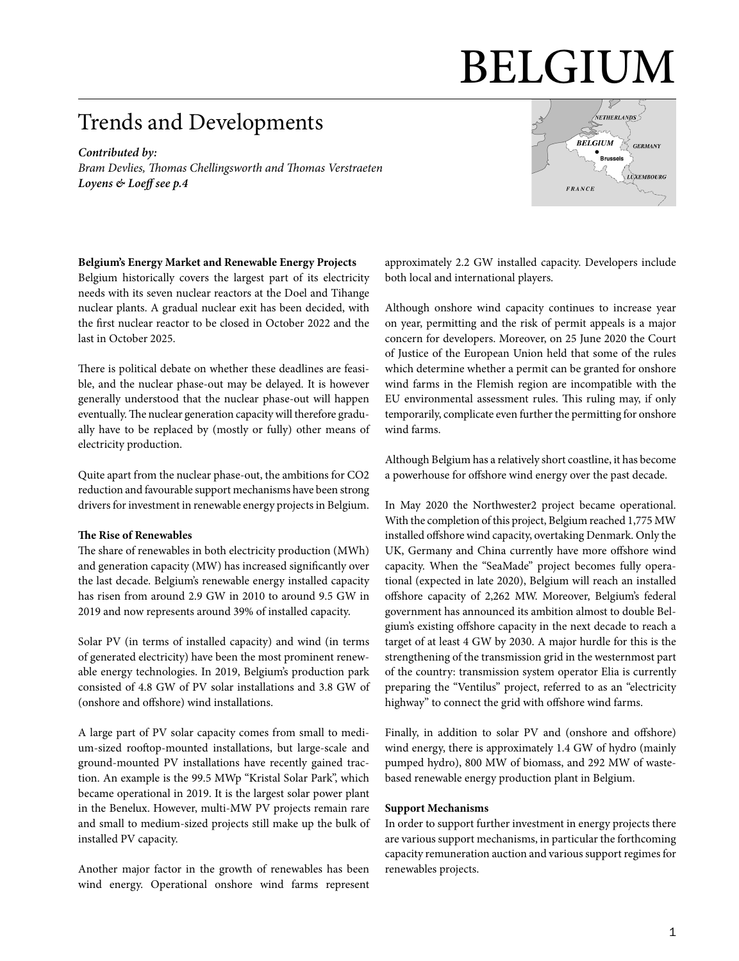# BELGIUM

# Trends and Developments

*Contributed by: Bram Devlies, Thomas Chellingsworth and Thomas Verstraeten Loyens & Loeff [see p.4](#page-3-0)*



#### **Belgium's Energy Market and Renewable Energy Projects**

Belgium historically covers the largest part of its electricity needs with its seven nuclear reactors at the Doel and Tihange nuclear plants. A gradual nuclear exit has been decided, with the first nuclear reactor to be closed in October 2022 and the last in October 2025.

There is political debate on whether these deadlines are feasible, and the nuclear phase-out may be delayed. It is however generally understood that the nuclear phase-out will happen eventually. The nuclear generation capacity will therefore gradually have to be replaced by (mostly or fully) other means of electricity production.

Quite apart from the nuclear phase-out, the ambitions for CO2 reduction and favourable support mechanisms have been strong drivers for investment in renewable energy projects in Belgium.

#### **The Rise of Renewables**

The share of renewables in both electricity production (MWh) and generation capacity (MW) has increased significantly over the last decade. Belgium's renewable energy installed capacity has risen from around 2.9 GW in 2010 to around 9.5 GW in 2019 and now represents around 39% of installed capacity.

Solar PV (in terms of installed capacity) and wind (in terms of generated electricity) have been the most prominent renewable energy technologies. In 2019, Belgium's production park consisted of 4.8 GW of PV solar installations and 3.8 GW of (onshore and offshore) wind installations.

A large part of PV solar capacity comes from small to medium-sized rooftop-mounted installations, but large-scale and ground-mounted PV installations have recently gained traction. An example is the 99.5 MWp "Kristal Solar Park", which became operational in 2019. It is the largest solar power plant in the Benelux. However, multi-MW PV projects remain rare and small to medium-sized projects still make up the bulk of installed PV capacity.

Another major factor in the growth of renewables has been wind energy. Operational onshore wind farms represent approximately 2.2 GW installed capacity. Developers include both local and international players.

Although onshore wind capacity continues to increase year on year, permitting and the risk of permit appeals is a major concern for developers. Moreover, on 25 June 2020 the Court of Justice of the European Union held that some of the rules which determine whether a permit can be granted for onshore wind farms in the Flemish region are incompatible with the EU environmental assessment rules. This ruling may, if only temporarily, complicate even further the permitting for onshore wind farms.

Although Belgium has a relatively short coastline, it has become a powerhouse for offshore wind energy over the past decade.

In May 2020 the Northwester2 project became operational. With the completion of this project, Belgium reached 1,775 MW installed offshore wind capacity, overtaking Denmark. Only the UK, Germany and China currently have more offshore wind capacity. When the "SeaMade" project becomes fully operational (expected in late 2020), Belgium will reach an installed offshore capacity of 2,262 MW. Moreover, Belgium's federal government has announced its ambition almost to double Belgium's existing offshore capacity in the next decade to reach a target of at least 4 GW by 2030. A major hurdle for this is the strengthening of the transmission grid in the westernmost part of the country: transmission system operator Elia is currently preparing the "Ventilus" project, referred to as an "electricity highway" to connect the grid with offshore wind farms.

Finally, in addition to solar PV and (onshore and offshore) wind energy, there is approximately 1.4 GW of hydro (mainly pumped hydro), 800 MW of biomass, and 292 MW of wastebased renewable energy production plant in Belgium.

#### **Support Mechanisms**

In order to support further investment in energy projects there are various support mechanisms, in particular the forthcoming capacity remuneration auction and various support regimes for renewables projects.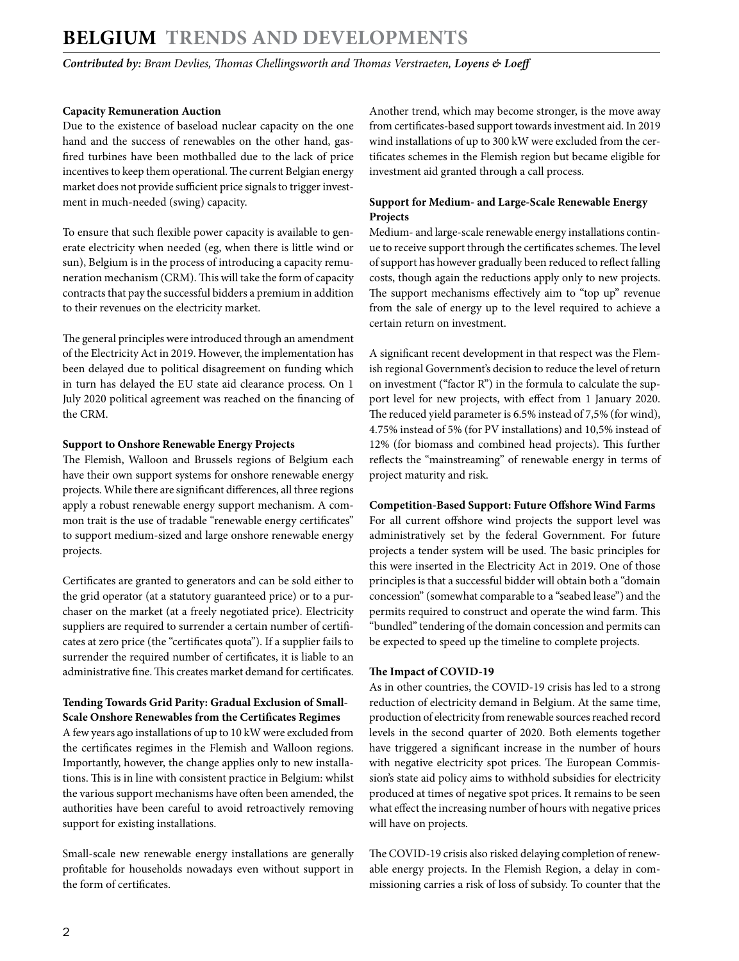# **BELGIUM Trends and Developments**

*Contributed by: Bram Devlies, Thomas Chellingsworth and Thomas Verstraeten, Loyens & Loeff*

### **Capacity Remuneration Auction**

Due to the existence of baseload nuclear capacity on the one hand and the success of renewables on the other hand, gasfired turbines have been mothballed due to the lack of price incentives to keep them operational. The current Belgian energy market does not provide sufficient price signals to trigger investment in much-needed (swing) capacity.

To ensure that such flexible power capacity is available to generate electricity when needed (eg, when there is little wind or sun), Belgium is in the process of introducing a capacity remuneration mechanism (CRM). This will take the form of capacity contracts that pay the successful bidders a premium in addition to their revenues on the electricity market.

The general principles were introduced through an amendment of the Electricity Act in 2019. However, the implementation has been delayed due to political disagreement on funding which in turn has delayed the EU state aid clearance process. On 1 July 2020 political agreement was reached on the financing of the CRM.

## **Support to Onshore Renewable Energy Projects**

The Flemish, Walloon and Brussels regions of Belgium each have their own support systems for onshore renewable energy projects. While there are significant differences, all three regions apply a robust renewable energy support mechanism. A common trait is the use of tradable "renewable energy certificates" to support medium-sized and large onshore renewable energy projects.

Certificates are granted to generators and can be sold either to the grid operator (at a statutory guaranteed price) or to a purchaser on the market (at a freely negotiated price). Electricity suppliers are required to surrender a certain number of certificates at zero price (the "certificates quota"). If a supplier fails to surrender the required number of certificates, it is liable to an administrative fine. This creates market demand for certificates.

## **Tending Towards Grid Parity: Gradual Exclusion of Small-Scale Onshore Renewables from the Certificates Regimes**

A few years ago installations of up to 10 kW were excluded from the certificates regimes in the Flemish and Walloon regions. Importantly, however, the change applies only to new installations. This is in line with consistent practice in Belgium: whilst the various support mechanisms have often been amended, the authorities have been careful to avoid retroactively removing support for existing installations.

Small-scale new renewable energy installations are generally profitable for households nowadays even without support in the form of certificates.

Another trend, which may become stronger, is the move away from certificates-based support towards investment aid. In 2019 wind installations of up to 300 kW were excluded from the certificates schemes in the Flemish region but became eligible for investment aid granted through a call process.

# **Support for Medium- and Large-Scale Renewable Energy Projects**

Medium- and large-scale renewable energy installations continue to receive support through the certificates schemes. The level of support has however gradually been reduced to reflect falling costs, though again the reductions apply only to new projects. The support mechanisms effectively aim to "top up" revenue from the sale of energy up to the level required to achieve a certain return on investment.

A significant recent development in that respect was the Flemish regional Government's decision to reduce the level of return on investment ("factor R") in the formula to calculate the support level for new projects, with effect from 1 January 2020. The reduced yield parameter is 6.5% instead of 7,5% (for wind), 4.75% instead of 5% (for PV installations) and 10,5% instead of 12% (for biomass and combined head projects). This further reflects the "mainstreaming" of renewable energy in terms of project maturity and risk.

## **Competition-Based Support: Future Offshore Wind Farms**

For all current offshore wind projects the support level was administratively set by the federal Government. For future projects a tender system will be used. The basic principles for this were inserted in the Electricity Act in 2019. One of those principles is that a successful bidder will obtain both a "domain concession" (somewhat comparable to a "seabed lease") and the permits required to construct and operate the wind farm. This "bundled" tendering of the domain concession and permits can be expected to speed up the timeline to complete projects.

## **The Impact of COVID-19**

As in other countries, the COVID-19 crisis has led to a strong reduction of electricity demand in Belgium. At the same time, production of electricity from renewable sources reached record levels in the second quarter of 2020. Both elements together have triggered a significant increase in the number of hours with negative electricity spot prices. The European Commission's state aid policy aims to withhold subsidies for electricity produced at times of negative spot prices. It remains to be seen what effect the increasing number of hours with negative prices will have on projects.

The COVID-19 crisis also risked delaying completion of renewable energy projects. In the Flemish Region, a delay in commissioning carries a risk of loss of subsidy. To counter that the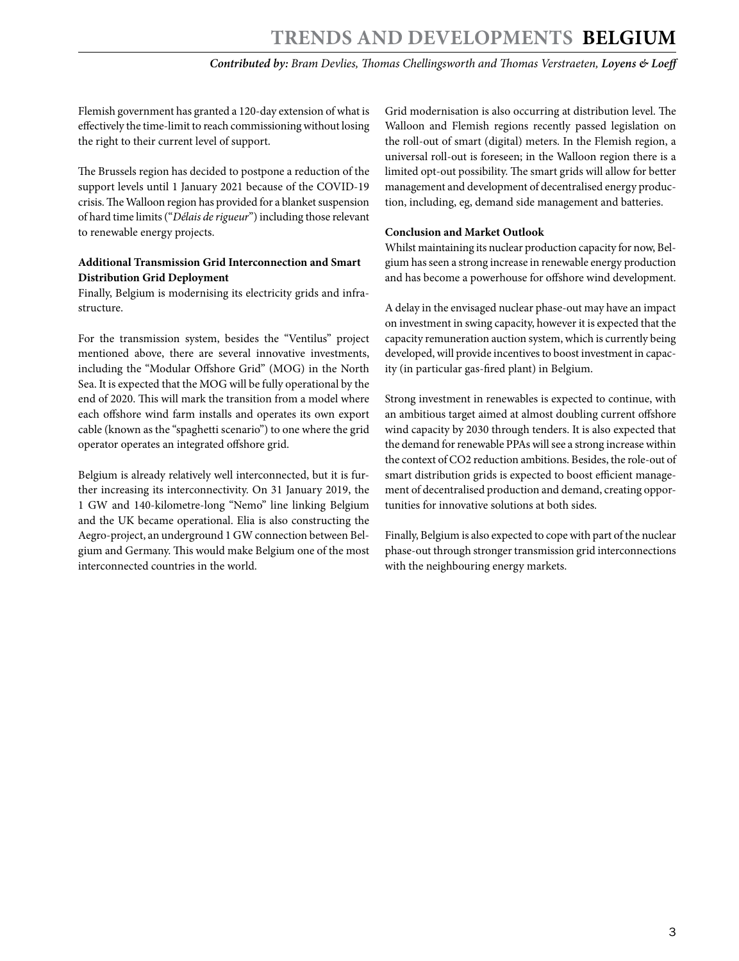*Contributed by: Bram Devlies, Thomas Chellingsworth and Thomas Verstraeten, Loyens & Loeff*

Flemish government has granted a 120-day extension of what is effectively the time-limit to reach commissioning without losing the right to their current level of support.

The Brussels region has decided to postpone a reduction of the support levels until 1 January 2021 because of the COVID-19 crisis. The Walloon region has provided for a blanket suspension of hard time limits ("*Délais de rigueur*") including those relevant to renewable energy projects.

### **Additional Transmission Grid Interconnection and Smart Distribution Grid Deployment**

Finally, Belgium is modernising its electricity grids and infrastructure.

For the transmission system, besides the "Ventilus" project mentioned above, there are several innovative investments, including the "Modular Offshore Grid" (MOG) in the North Sea. It is expected that the MOG will be fully operational by the end of 2020. This will mark the transition from a model where each offshore wind farm installs and operates its own export cable (known as the "spaghetti scenario") to one where the grid operator operates an integrated offshore grid.

Belgium is already relatively well interconnected, but it is further increasing its interconnectivity. On 31 January 2019, the 1 GW and 140-kilometre-long "Nemo" line linking Belgium and the UK became operational. Elia is also constructing the Aegro-project, an underground 1 GW connection between Belgium and Germany. This would make Belgium one of the most interconnected countries in the world.

Grid modernisation is also occurring at distribution level. The Walloon and Flemish regions recently passed legislation on the roll-out of smart (digital) meters. In the Flemish region, a universal roll-out is foreseen; in the Walloon region there is a limited opt-out possibility. The smart grids will allow for better management and development of decentralised energy production, including, eg, demand side management and batteries.

### **Conclusion and Market Outlook**

Whilst maintaining its nuclear production capacity for now, Belgium has seen a strong increase in renewable energy production and has become a powerhouse for offshore wind development.

A delay in the envisaged nuclear phase-out may have an impact on investment in swing capacity, however it is expected that the capacity remuneration auction system, which is currently being developed, will provide incentives to boost investment in capacity (in particular gas-fired plant) in Belgium.

Strong investment in renewables is expected to continue, with an ambitious target aimed at almost doubling current offshore wind capacity by 2030 through tenders. It is also expected that the demand for renewable PPAs will see a strong increase within the context of CO2 reduction ambitions. Besides, the role-out of smart distribution grids is expected to boost efficient management of decentralised production and demand, creating opportunities for innovative solutions at both sides.

Finally, Belgium is also expected to cope with part of the nuclear phase-out through stronger transmission grid interconnections with the neighbouring energy markets.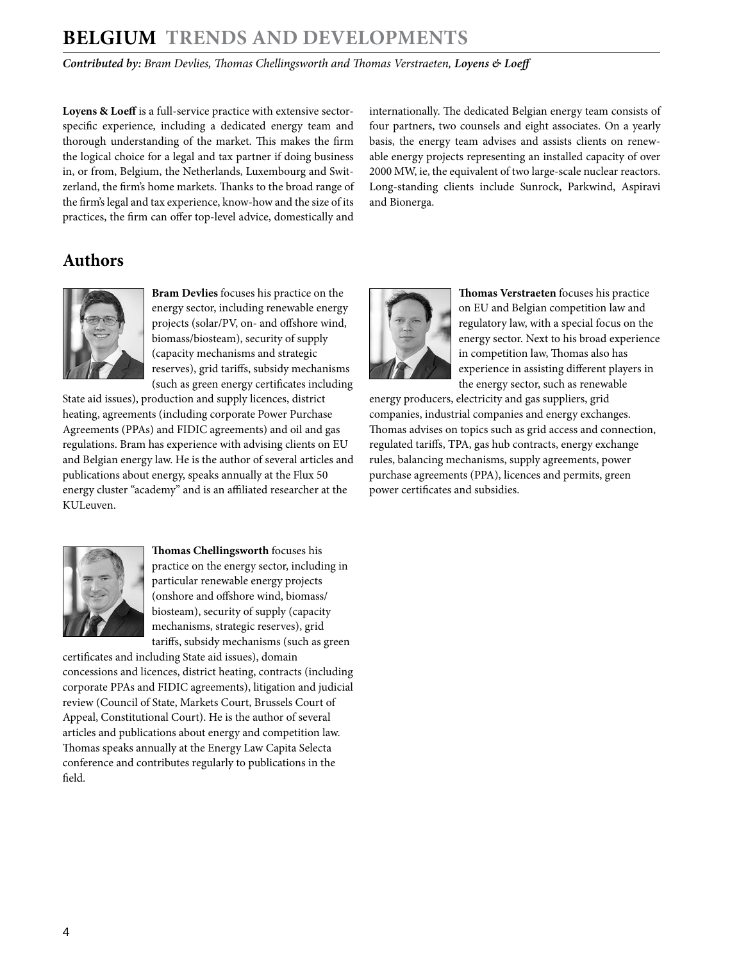# **BELGIUM Trends and Developments**

*Contributed by: Bram Devlies, Thomas Chellingsworth and Thomas Verstraeten, Loyens & Loeff*

Loyens & Loeff is a full-service practice with extensive sectorspecific experience, including a dedicated energy team and thorough understanding of the market. This makes the firm the logical choice for a legal and tax partner if doing business in, or from, Belgium, the Netherlands, Luxembourg and Switzerland, the firm's home markets. Thanks to the broad range of the firm's legal and tax experience, know-how and the size of its practices, the firm can offer top-level advice, domestically and internationally. The dedicated Belgian energy team consists of four partners, two counsels and eight associates. On a yearly basis, the energy team advises and assists clients on renewable energy projects representing an installed capacity of over 2000 MW, ie, the equivalent of two large-scale nuclear reactors. Long-standing clients include Sunrock, Parkwind, Aspiravi and Bionerga.

# <span id="page-3-0"></span>**Authors**



**Bram Devlies** focuses his practice on the energy sector, including renewable energy projects (solar/PV, on- and offshore wind, biomass/biosteam), security of supply (capacity mechanisms and strategic reserves), grid tariffs, subsidy mechanisms (such as green energy certificates including

State aid issues), production and supply licences, district heating, agreements (including corporate Power Purchase Agreements (PPAs) and FIDIC agreements) and oil and gas regulations. Bram has experience with advising clients on EU and Belgian energy law. He is the author of several articles and publications about energy, speaks annually at the Flux 50 energy cluster "academy" and is an affiliated researcher at the KULeuven.



**Thomas Chellingsworth** focuses his practice on the energy sector, including in particular renewable energy projects (onshore and offshore wind, biomass/ biosteam), security of supply (capacity mechanisms, strategic reserves), grid tariffs, subsidy mechanisms (such as green

certificates and including State aid issues), domain concessions and licences, district heating, contracts (including corporate PPAs and FIDIC agreements), litigation and judicial review (Council of State, Markets Court, Brussels Court of Appeal, Constitutional Court). He is the author of several articles and publications about energy and competition law. Thomas speaks annually at the Energy Law Capita Selecta conference and contributes regularly to publications in the field.



**Thomas Verstraeten** focuses his practice on EU and Belgian competition law and regulatory law, with a special focus on the energy sector. Next to his broad experience in competition law, Thomas also has experience in assisting different players in the energy sector, such as renewable

energy producers, electricity and gas suppliers, grid companies, industrial companies and energy exchanges. Thomas advises on topics such as grid access and connection, regulated tariffs, TPA, gas hub contracts, energy exchange rules, balancing mechanisms, supply agreements, power purchase agreements (PPA), licences and permits, green power certificates and subsidies.